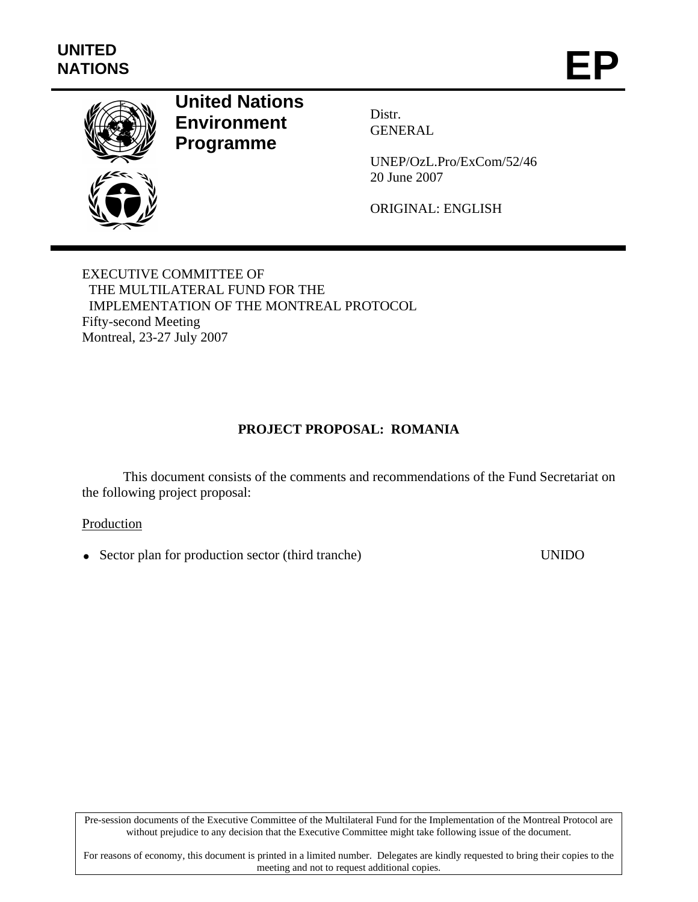

# **United Nations Environment Programme**

Distr. GENERAL

UNEP/OzL.Pro/ExCom/52/46 20 June 2007

ORIGINAL: ENGLISH

EXECUTIVE COMMITTEE OF THE MULTILATERAL FUND FOR THE IMPLEMENTATION OF THE MONTREAL PROTOCOL Fifty-second Meeting Montreal, 23-27 July 2007

# **PROJECT PROPOSAL: ROMANIA**

This document consists of the comments and recommendations of the Fund Secretariat on the following project proposal:

### Production

• Sector plan for production sector (third tranche) UNIDO

Pre-session documents of the Executive Committee of the Multilateral Fund for the Implementation of the Montreal Protocol are without prejudice to any decision that the Executive Committee might take following issue of the document.

For reasons of economy, this document is printed in a limited number. Delegates are kindly requested to bring their copies to the meeting and not to request additional copies.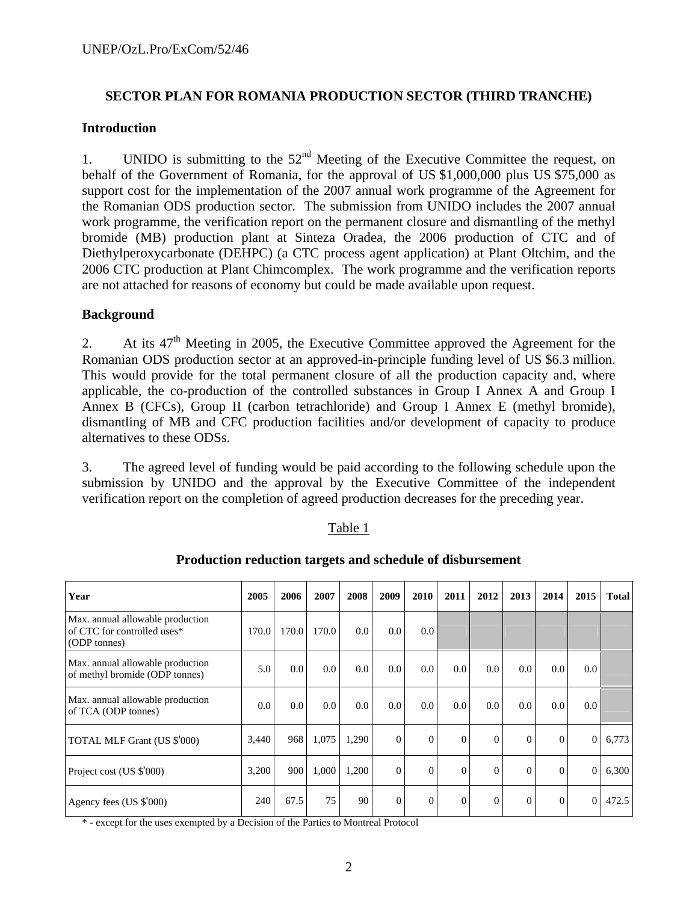## **SECTOR PLAN FOR ROMANIA PRODUCTION SECTOR (THIRD TRANCHE)**

#### **Introduction**

1. UNIDO is submitting to the  $52<sup>nd</sup>$  Meeting of the Executive Committee the request, on behalf of the Government of Romania, for the approval of US \$1,000,000 plus US \$75,000 as support cost for the implementation of the 2007 annual work programme of the Agreement for the Romanian ODS production sector. The submission from UNIDO includes the 2007 annual work programme, the verification report on the permanent closure and dismantling of the methyl bromide (MB) production plant at Sinteza Oradea, the 2006 production of CTC and of Diethylperoxycarbonate (DEHPC) (a CTC process agent application) at Plant Oltchim, and the 2006 CTC production at Plant Chimcomplex. The work programme and the verification reports are not attached for reasons of economy but could be made available upon request.

### **Background**

2. At its  $47<sup>th</sup>$  Meeting in 2005, the Executive Committee approved the Agreement for the Romanian ODS production sector at an approved-in-principle funding level of US \$6.3 million. This would provide for the total permanent closure of all the production capacity and, where applicable, the co-production of the controlled substances in Group I Annex A and Group I Annex B (CFCs), Group II (carbon tetrachloride) and Group I Annex E (methyl bromide), dismantling of MB and CFC production facilities and/or development of capacity to produce alternatives to these ODSs.

3. The agreed level of funding would be paid according to the following schedule upon the submission by UNIDO and the approval by the Executive Committee of the independent verification report on the completion of agreed production decreases for the preceding year.

#### Table 1

| Year                                                                            | 2005  | 2006  | 2007  | 2008  | 2009           | 2010             | 2011     | 2012     | 2013     | 2014     | 2015           | <b>Total</b> |
|---------------------------------------------------------------------------------|-------|-------|-------|-------|----------------|------------------|----------|----------|----------|----------|----------------|--------------|
| Max. annual allowable production<br>of CTC for controlled uses*<br>(ODP tonnes) | 170.0 | 170.0 | 170.0 | 0.0   | 0.0            | 0.0 <sub>l</sub> |          |          |          |          |                |              |
| Max. annual allowable production<br>of methyl bromide (ODP tonnes)              | 5.0   | 0.0   | 0.0   | 0.0   | 0.0            | 0.0 <sub>l</sub> | 0.0      | 0.0      | 0.0      | 0.0      | 0.0            |              |
| Max. annual allowable production<br>of TCA (ODP tonnes)                         | 0.0   | 0.0   | 0.0   | 0.0   | 0.0            | 0.0 <sub>l</sub> | 0.0      | 0.0      | 0.0      | 0.0      | 0.0            |              |
| TOTAL MLF Grant (US \$'000)                                                     | 3,440 | 968   | 1,075 | 1,290 | $\overline{0}$ | $\overline{0}$   | $\Omega$ | $\Omega$ | $\Omega$ | $\Omega$ | $\overline{0}$ | 6,773        |
| Project cost (US \$'000)                                                        | 3,200 | 900   | 1,000 | 1,200 | $\Omega$       | $\overline{0}$   | $\Omega$ | $\Omega$ | $\Omega$ | $\Omega$ | $\overline{0}$ | 6,300        |
| Agency fees (US \$'000)                                                         | 240   | 67.5  | 75    | 90    | $\Omega$       | $\overline{0}$   | $\Omega$ | $\Omega$ | $\theta$ | $\Omega$ | $\Omega$       | 472.5        |

### **Production reduction targets and schedule of disbursement**

\* - except for the uses exempted by a Decision of the Parties to Montreal Protocol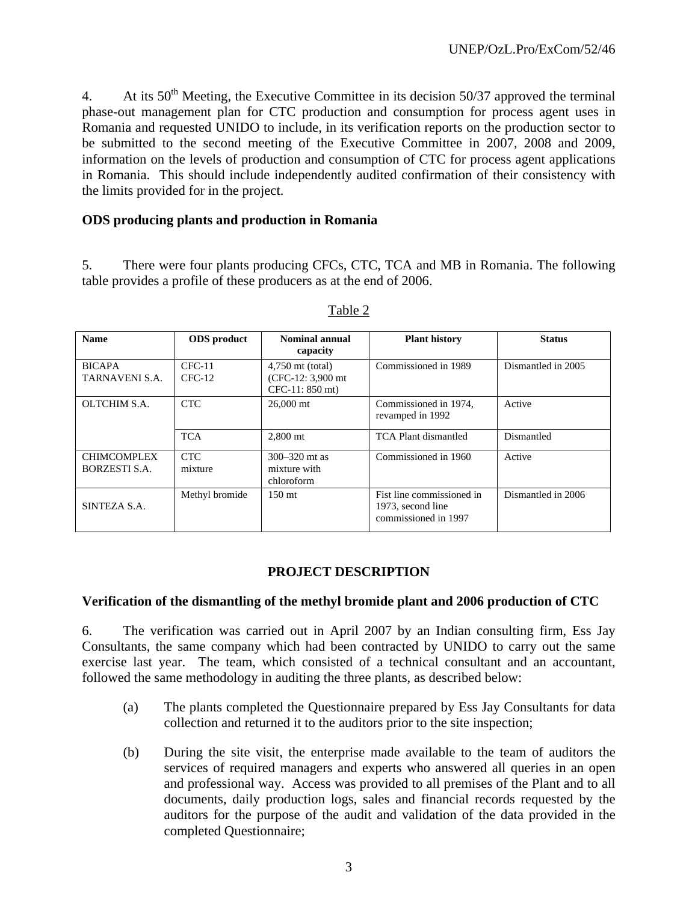4. At its  $50<sup>th</sup>$  Meeting, the Executive Committee in its decision 50/37 approved the terminal phase-out management plan for CTC production and consumption for process agent uses in Romania and requested UNIDO to include, in its verification reports on the production sector to be submitted to the second meeting of the Executive Committee in 2007, 2008 and 2009, information on the levels of production and consumption of CTC for process agent applications in Romania. This should include independently audited confirmation of their consistency with the limits provided for in the project.

## **ODS producing plants and production in Romania**

5. There were four plants producing CFCs, CTC, TCA and MB in Romania. The following table provides a profile of these producers as at the end of 2006.

| <b>Name</b>                         | <b>ODS</b> product   | <b>Nominal annual</b><br>capacity                              | <b>Plant history</b>                                                   | <b>Status</b>      |  |
|-------------------------------------|----------------------|----------------------------------------------------------------|------------------------------------------------------------------------|--------------------|--|
| <b>BICAPA</b><br>TARNAVENI S.A.     | $CFC-11$<br>$CFC-12$ | $4,750$ mt (total)<br>$(CFC-12: 3,900$ mt<br>$CFC-11: 850$ mt) | Commissioned in 1989                                                   | Dismantled in 2005 |  |
| OLTCHIM S.A.                        | <b>CTC</b>           | $26,000$ mt                                                    | Commissioned in 1974.<br>revamped in 1992                              | Active             |  |
|                                     | <b>TCA</b>           | 2,800 mt                                                       | TCA Plant dismantled                                                   | Dismantled         |  |
| <b>CHIMCOMPLEX</b><br>BORZESTI S.A. | CTC.<br>mixture      | $300 - 320$ mt as<br>mixture with<br>chloroform                | Commissioned in 1960                                                   | Active             |  |
| SINTEZA S.A.                        | Methyl bromide       | 150 mt                                                         | Fist line commissioned in<br>1973, second line<br>commissioned in 1997 | Dismantled in 2006 |  |

#### Table 2

### **PROJECT DESCRIPTION**

#### **Verification of the dismantling of the methyl bromide plant and 2006 production of CTC**

6. The verification was carried out in April 2007 by an Indian consulting firm, Ess Jay Consultants, the same company which had been contracted by UNIDO to carry out the same exercise last year. The team, which consisted of a technical consultant and an accountant, followed the same methodology in auditing the three plants, as described below:

- (a) The plants completed the Questionnaire prepared by Ess Jay Consultants for data collection and returned it to the auditors prior to the site inspection;
- (b) During the site visit, the enterprise made available to the team of auditors the services of required managers and experts who answered all queries in an open and professional way. Access was provided to all premises of the Plant and to all documents, daily production logs, sales and financial records requested by the auditors for the purpose of the audit and validation of the data provided in the completed Questionnaire;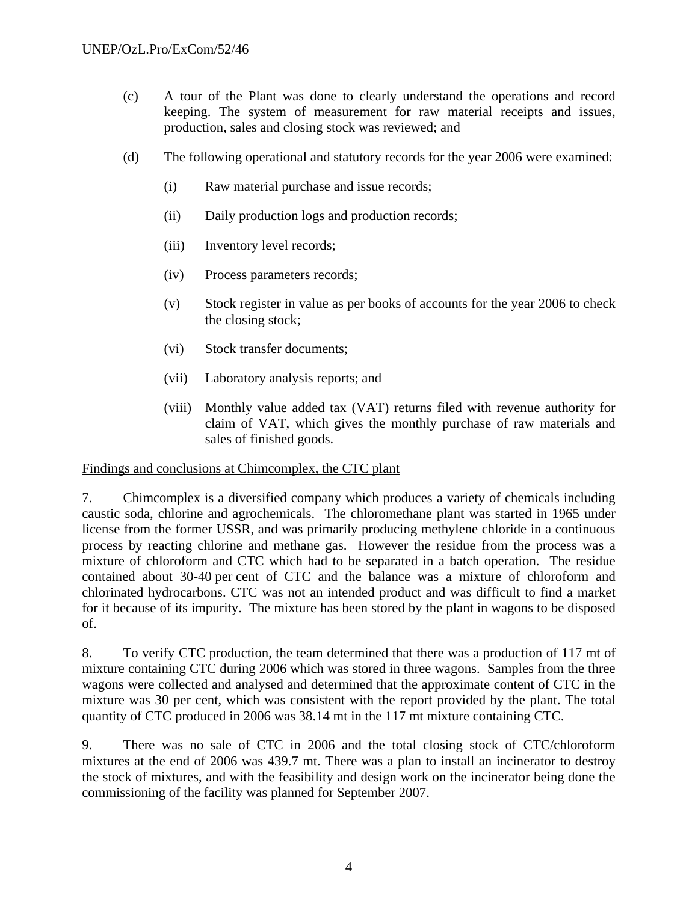- (c) A tour of the Plant was done to clearly understand the operations and record keeping. The system of measurement for raw material receipts and issues, production, sales and closing stock was reviewed; and
- (d) The following operational and statutory records for the year 2006 were examined:
	- (i) Raw material purchase and issue records;
	- (ii) Daily production logs and production records;
	- (iii) Inventory level records;
	- (iv) Process parameters records;
	- (v) Stock register in value as per books of accounts for the year 2006 to check the closing stock;
	- (vi) Stock transfer documents;
	- (vii) Laboratory analysis reports; and
	- (viii) Monthly value added tax (VAT) returns filed with revenue authority for claim of VAT, which gives the monthly purchase of raw materials and sales of finished goods.

### Findings and conclusions at Chimcomplex, the CTC plant

7. Chimcomplex is a diversified company which produces a variety of chemicals including caustic soda, chlorine and agrochemicals. The chloromethane plant was started in 1965 under license from the former USSR, and was primarily producing methylene chloride in a continuous process by reacting chlorine and methane gas. However the residue from the process was a mixture of chloroform and CTC which had to be separated in a batch operation. The residue contained about 30-40 per cent of CTC and the balance was a mixture of chloroform and chlorinated hydrocarbons. CTC was not an intended product and was difficult to find a market for it because of its impurity. The mixture has been stored by the plant in wagons to be disposed of.

8. To verify CTC production, the team determined that there was a production of 117 mt of mixture containing CTC during 2006 which was stored in three wagons. Samples from the three wagons were collected and analysed and determined that the approximate content of CTC in the mixture was 30 per cent, which was consistent with the report provided by the plant. The total quantity of CTC produced in 2006 was 38.14 mt in the 117 mt mixture containing CTC.

9. There was no sale of CTC in 2006 and the total closing stock of CTC/chloroform mixtures at the end of 2006 was 439.7 mt. There was a plan to install an incinerator to destroy the stock of mixtures, and with the feasibility and design work on the incinerator being done the commissioning of the facility was planned for September 2007.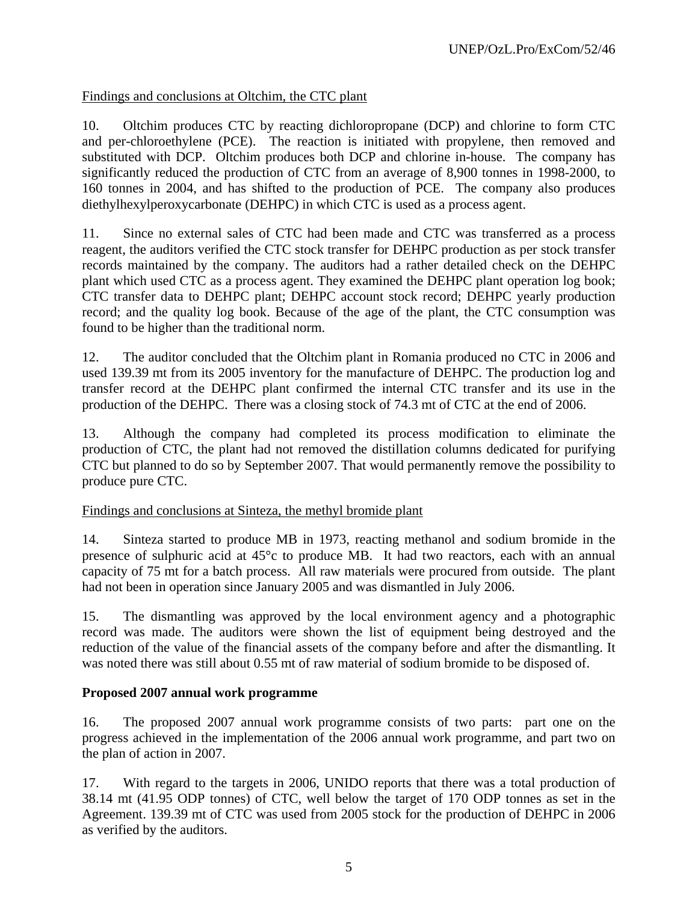# Findings and conclusions at Oltchim, the CTC plant

10. Oltchim produces CTC by reacting dichloropropane (DCP) and chlorine to form CTC and per-chloroethylene (PCE). The reaction is initiated with propylene, then removed and substituted with DCP. Oltchim produces both DCP and chlorine in-house. The company has significantly reduced the production of CTC from an average of 8,900 tonnes in 1998-2000, to 160 tonnes in 2004, and has shifted to the production of PCE. The company also produces diethylhexylperoxycarbonate (DEHPC) in which CTC is used as a process agent.

11. Since no external sales of CTC had been made and CTC was transferred as a process reagent, the auditors verified the CTC stock transfer for DEHPC production as per stock transfer records maintained by the company. The auditors had a rather detailed check on the DEHPC plant which used CTC as a process agent. They examined the DEHPC plant operation log book; CTC transfer data to DEHPC plant; DEHPC account stock record; DEHPC yearly production record; and the quality log book. Because of the age of the plant, the CTC consumption was found to be higher than the traditional norm.

12. The auditor concluded that the Oltchim plant in Romania produced no CTC in 2006 and used 139.39 mt from its 2005 inventory for the manufacture of DEHPC. The production log and transfer record at the DEHPC plant confirmed the internal CTC transfer and its use in the production of the DEHPC. There was a closing stock of 74.3 mt of CTC at the end of 2006.

13. Although the company had completed its process modification to eliminate the production of CTC, the plant had not removed the distillation columns dedicated for purifying CTC but planned to do so by September 2007. That would permanently remove the possibility to produce pure CTC.

### Findings and conclusions at Sinteza, the methyl bromide plant

14. Sinteza started to produce MB in 1973, reacting methanol and sodium bromide in the presence of sulphuric acid at 45°c to produce MB. It had two reactors, each with an annual capacity of 75 mt for a batch process. All raw materials were procured from outside. The plant had not been in operation since January 2005 and was dismantled in July 2006.

15. The dismantling was approved by the local environment agency and a photographic record was made. The auditors were shown the list of equipment being destroyed and the reduction of the value of the financial assets of the company before and after the dismantling. It was noted there was still about 0.55 mt of raw material of sodium bromide to be disposed of.

# **Proposed 2007 annual work programme**

16. The proposed 2007 annual work programme consists of two parts: part one on the progress achieved in the implementation of the 2006 annual work programme, and part two on the plan of action in 2007.

17. With regard to the targets in 2006, UNIDO reports that there was a total production of 38.14 mt (41.95 ODP tonnes) of CTC, well below the target of 170 ODP tonnes as set in the Agreement. 139.39 mt of CTC was used from 2005 stock for the production of DEHPC in 2006 as verified by the auditors.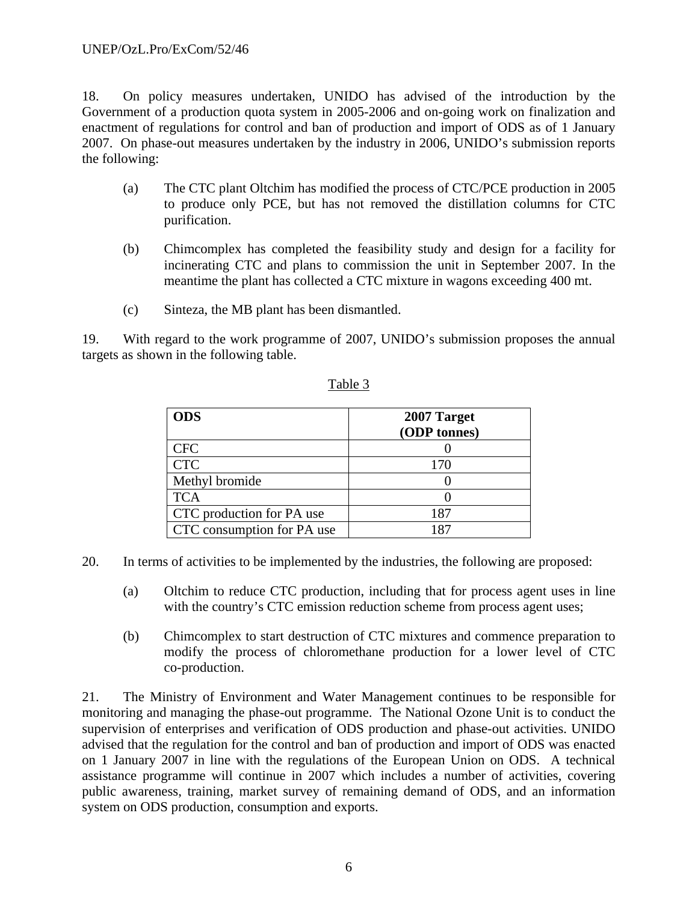18. On policy measures undertaken, UNIDO has advised of the introduction by the Government of a production quota system in 2005-2006 and on-going work on finalization and enactment of regulations for control and ban of production and import of ODS as of 1 January 2007. On phase-out measures undertaken by the industry in 2006, UNIDO's submission reports the following:

- (a) The CTC plant Oltchim has modified the process of CTC/PCE production in 2005 to produce only PCE, but has not removed the distillation columns for CTC purification.
- (b) Chimcomplex has completed the feasibility study and design for a facility for incinerating CTC and plans to commission the unit in September 2007. In the meantime the plant has collected a CTC mixture in wagons exceeding 400 mt.
- (c) Sinteza, the MB plant has been dismantled.

19. With regard to the work programme of 2007, UNIDO's submission proposes the annual targets as shown in the following table.

| <b>ODS</b>                 | 2007 Target<br>(ODP tonnes) |
|----------------------------|-----------------------------|
| <b>CFC</b>                 |                             |
| <b>CTC</b>                 | 170                         |
| Methyl bromide             |                             |
| <b>TCA</b>                 |                             |
| CTC production for PA use  | 187                         |
| CTC consumption for PA use | 187                         |

# Table 3

- 20. In terms of activities to be implemented by the industries, the following are proposed:
	- (a) Oltchim to reduce CTC production, including that for process agent uses in line with the country's CTC emission reduction scheme from process agent uses;
	- (b) Chimcomplex to start destruction of CTC mixtures and commence preparation to modify the process of chloromethane production for a lower level of CTC co-production.

21. The Ministry of Environment and Water Management continues to be responsible for monitoring and managing the phase-out programme. The National Ozone Unit is to conduct the supervision of enterprises and verification of ODS production and phase-out activities. UNIDO advised that the regulation for the control and ban of production and import of ODS was enacted on 1 January 2007 in line with the regulations of the European Union on ODS. A technical assistance programme will continue in 2007 which includes a number of activities, covering public awareness, training, market survey of remaining demand of ODS, and an information system on ODS production, consumption and exports.